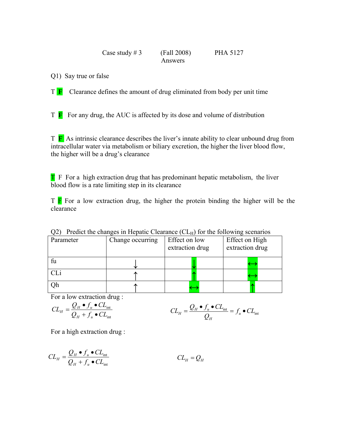## Case study  $\# 3$  (Fall 2008) PHA 5127 Answers

Q1) Say true or false

T **F** Clearance defines the amount of drug eliminated from body per unit time

T **F** For any drug, the AUC is affected by its dose and volume of distribution

T **F** As intrinsic clearance describes the liver's innate ability to clear unbound drug from intracellular water via metabolism or biliary excretion, the higher the liver blood flow, the higher will be a drug's clearance

T F For a high extraction drug that has predominant hepatic metabolism, the liver blood flow is a rate limiting step in its clearance

 $T \nightharpoonup F$  For a low extraction drug, the higher the protein binding the higher will be the clearance

| ∪∠ i<br>Treater the changes in Ficpatic Cicarance (CEA) for the following seculatios |                  |                                  |                                   |  |  |  |  |
|--------------------------------------------------------------------------------------|------------------|----------------------------------|-----------------------------------|--|--|--|--|
| Parameter                                                                            | Change occurring | Effect on low<br>extraction drug | Effect on High<br>extraction drug |  |  |  |  |
| fu                                                                                   |                  |                                  |                                   |  |  |  |  |
| CLi                                                                                  |                  |                                  |                                   |  |  |  |  |
| Эh                                                                                   |                  |                                  |                                   |  |  |  |  |

 $Q$ <sup>2</sup>) Predict the changes in Hepatic Clearance  $(CL_H)$  for the following scenarios

For a low extraction drug :

$$
CL_H = \frac{Q_H \bullet f_u \bullet CL_{int}}{Q_H + f_u \bullet CL_{int}} \qquad \qquad CL_H = \frac{Q_H \bullet f_u \bullet CL_{int}}{Q_H} = f_u \bullet CL_{int}
$$

For a high extraction drug :

$$
CL_H = \frac{Q_H \bullet f_u \bullet CL_{int}}{Q_H + f_u \bullet CL_{int}} \qquad CL_H = Q_H
$$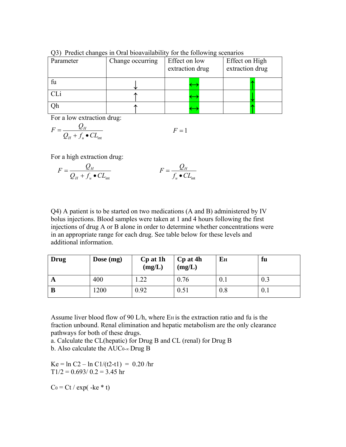| Parameter | Change occurring | Effect on low<br>extraction drug | Effect on High<br>extraction drug |  |
|-----------|------------------|----------------------------------|-----------------------------------|--|
| fu        |                  |                                  |                                   |  |
|           |                  |                                  |                                   |  |
|           |                  |                                  |                                   |  |

Q3) Predict changes in Oral bioavailability for the following scenarios

For a low extraction drug:

$$
F = \frac{Q_H}{Q_H + f_u \bullet CL_{\text{int}}} \qquad F = 1
$$

For a high extraction drug:

$$
F = \frac{Q_H}{Q_H + f_u \bullet CL_{int}} \qquad F = \frac{Q_H}{f_u \bullet CL_{int}}
$$

Q4) A patient is to be started on two medications (A and B) administered by IV bolus injections. Blood samples were taken at 1 and 4 hours following the first injections of drug A or B alone in order to determine whether concentrations were in an appropriate range for each drug. See table below for these levels and additional information.

| Drug | Dose $(mg)$ | Cp at 1h<br>(mg/L) | Cp at 4h<br>(mg/L) | Eн  | fu  |
|------|-------------|--------------------|--------------------|-----|-----|
| A    | 400         | .22                | 0.76               | 0.1 | 0.3 |
| B    | 1200        | 0.92               | 0.51               | 0.8 | 0.1 |

Assume liver blood flow of 90 L/h, where E<sub>H</sub> is the extraction ratio and fu is the fraction unbound. Renal elimination and hepatic metabolism are the only clearance pathways for both of these drugs.

a. Calculate the CL(hepatic) for Drug B and CL (renal) for Drug B b. Also calculate the  $AUC_{0-\infty}$  Drug B

Ke =  $\ln C2 - \ln C1/(t2-t1) = 0.20$ /hr  $T1/2 = 0.693/0.2 = 3.45$  hr

 $C_0 = Ct / exp(-ke * t)$